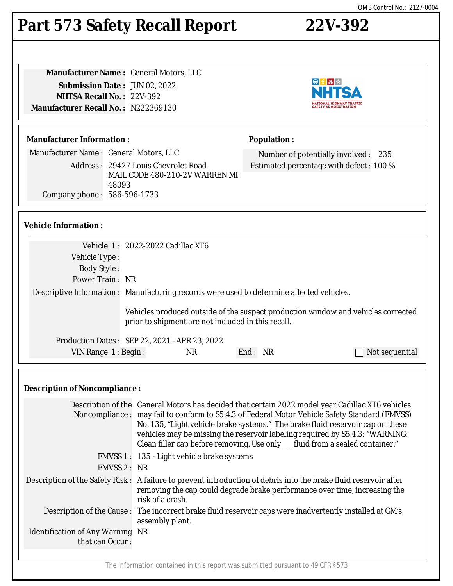# **Part 573 Safety Recall Report 22V-392**

**Manufacturer Name :** General Motors, LLC **Submission Date :** JUN 02, 2022 **NHTSA Recall No. :** 22V-392 **Manufacturer Recall No. :** N222369130

## **Manufacturer Information :**

Manufacturer Name : General Motors, LLC

Address : 29427 Louis Chevrolet Road MAIL CODE 480-210-2V WARREN MI 48093 Company phone : 586-596-1733

# **Vehicle Information :**

|                     | Vehicle 1: 2022-2022 Cadillac XT6                                                                                                       |         |                |
|---------------------|-----------------------------------------------------------------------------------------------------------------------------------------|---------|----------------|
| Vehicle Type :      |                                                                                                                                         |         |                |
| <b>Body Style:</b>  |                                                                                                                                         |         |                |
| Power Train: NR     |                                                                                                                                         |         |                |
|                     | Descriptive Information : Manufacturing records were used to determine affected vehicles.                                               |         |                |
|                     | Vehicles produced outside of the suspect production window and vehicles corrected<br>prior to shipment are not included in this recall. |         |                |
|                     | Production Dates: SEP 22, 2021 - APR 23, 2022                                                                                           |         |                |
| VIN Range 1: Begin: | <b>NR</b>                                                                                                                               | End: NR | Not sequential |
|                     |                                                                                                                                         |         |                |

# **Description of Noncompliance :**

|                                                            | Description of the General Motors has decided that certain 2022 model year Cadillac XT6 vehicles<br>Noncompliance: may fail to conform to S5.4.3 of Federal Motor Vehicle Safety Standard (FMVSS)<br>No. 135, "Light vehicle brake systems." The brake fluid reservoir cap on these<br>vehicles may be missing the reservoir labeling required by S5.4.3: "WARNING:<br>Clean filler cap before removing. Use only __ fluid from a sealed container." |
|------------------------------------------------------------|------------------------------------------------------------------------------------------------------------------------------------------------------------------------------------------------------------------------------------------------------------------------------------------------------------------------------------------------------------------------------------------------------------------------------------------------------|
|                                                            | FMVSS 1: 135 - Light vehicle brake systems                                                                                                                                                                                                                                                                                                                                                                                                           |
| FMVSS 2: NR                                                |                                                                                                                                                                                                                                                                                                                                                                                                                                                      |
|                                                            | Description of the Safety Risk : A failure to prevent introduction of debris into the brake fluid reservoir after<br>removing the cap could degrade brake performance over time, increasing the<br>risk of a crash.                                                                                                                                                                                                                                  |
|                                                            | Description of the Cause : The incorrect brake fluid reservoir caps were inadvertently installed at GM's<br>assembly plant.                                                                                                                                                                                                                                                                                                                          |
| <b>Identification of Any Warning NR</b><br>that can Occur: |                                                                                                                                                                                                                                                                                                                                                                                                                                                      |
|                                                            |                                                                                                                                                                                                                                                                                                                                                                                                                                                      |

The information contained in this report was submitted pursuant to 49 CFR §573



Number of potentially involved : 235 Estimated percentage with defect : 100 %

**Population :**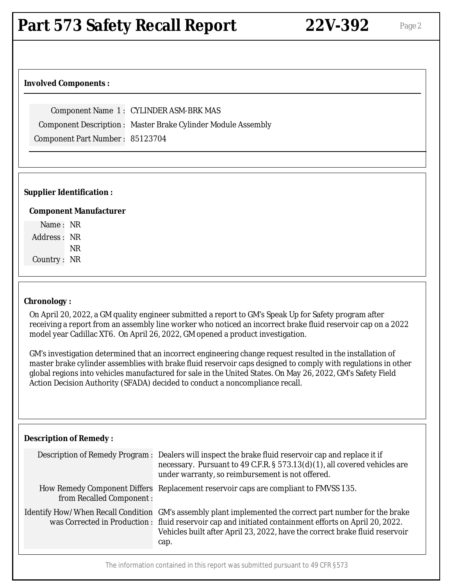#### **Involved Components :**

Component Name 1 : CYLINDER ASM-BRK MAS

Component Description : Master Brake Cylinder Module Assembly

Component Part Number : 85123704

#### **Supplier Identification :**

#### **Component Manufacturer**

Name : NR Address : NR NR Country : NR

#### **Chronology :**

On April 20, 2022, a GM quality engineer submitted a report to GM's Speak Up for Safety program after receiving a report from an assembly line worker who noticed an incorrect brake fluid reservoir cap on a 2022 model year Cadillac XT6. On April 26, 2022, GM opened a product investigation.

GM's investigation determined that an incorrect engineering change request resulted in the installation of master brake cylinder assemblies with brake fluid reservoir caps designed to comply with regulations in other global regions into vehicles manufactured for sale in the United States. On May 26, 2022, GM's Safety Field Action Decision Authority (SFADA) decided to conduct a noncompliance recall.

#### **Description of Remedy :**

|                          | Description of Remedy Program : Dealers will inspect the brake fluid reservoir cap and replace it if<br>necessary. Pursuant to 49 C.F.R. § 573.13(d)(1), all covered vehicles are<br>under warranty, so reimbursement is not offered.                                                                     |
|--------------------------|-----------------------------------------------------------------------------------------------------------------------------------------------------------------------------------------------------------------------------------------------------------------------------------------------------------|
| from Recalled Component: | How Remedy Component Differs Replacement reservoir caps are compliant to FMVSS 135.                                                                                                                                                                                                                       |
|                          | Identify How/When Recall Condition GM's assembly plant implemented the correct part number for the brake<br>was Corrected in Production : fluid reservoir cap and initiated containment efforts on April 20, 2022.<br>Vehicles built after April 23, 2022, have the correct brake fluid reservoir<br>cap. |

The information contained in this report was submitted pursuant to 49 CFR §573